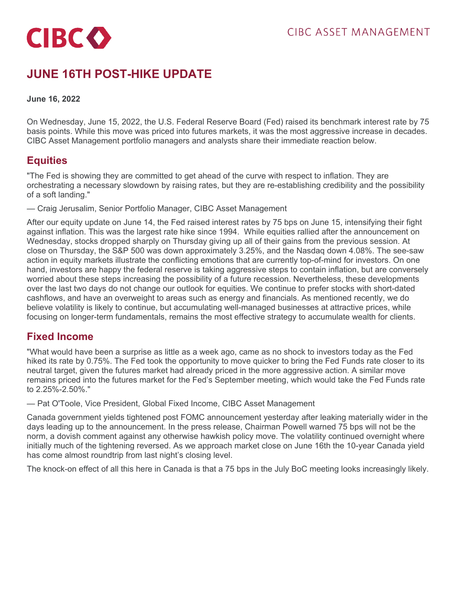

# **JUNE 16TH POST-HIKE UPDATE**

#### **June 16, 2022**

On Wednesday, June 15, 2022, the U.S. Federal Reserve Board (Fed) raised its benchmark interest rate by 75 basis points. While this move was priced into futures markets, it was the most aggressive increase in decades. CIBC Asset Management portfolio managers and analysts share their immediate reaction below.

### **Equities**

"The Fed is showing they are committed to get ahead of the curve with respect to inflation. They are orchestrating a necessary slowdown by raising rates, but they are re-establishing credibility and the possibility of a soft landing."

— Craig Jerusalim, Senior Portfolio Manager, CIBC Asset Management

After our equity update on June 14, the Fed raised interest rates by 75 bps on June 15, intensifying their fight against inflation. This was the largest rate hike since 1994. While equities rallied after the announcement on Wednesday, stocks dropped sharply on Thursday giving up all of their gains from the previous session. At close on Thursday, the S&P 500 was down approximately 3.25%, and the Nasdaq down 4.08%. The see-saw action in equity markets illustrate the conflicting emotions that are currently top-of-mind for investors. On one hand, investors are happy the federal reserve is taking aggressive steps to contain inflation, but are conversely worried about these steps increasing the possibility of a future recession. Nevertheless, these developments over the last two days do not change our outlook for equities. We continue to prefer stocks with short-dated cashflows, and have an overweight to areas such as energy and financials. As mentioned recently, we do believe volatility is likely to continue, but accumulating well-managed businesses at attractive prices, while focusing on longer-term fundamentals, remains the most effective strategy to accumulate wealth for clients.

### **Fixed Income**

"What would have been a surprise as little as a week ago, came as no shock to investors today as the Fed hiked its rate by 0.75%. The Fed took the opportunity to move quicker to bring the Fed Funds rate closer to its neutral target, given the futures market had already priced in the more aggressive action. A similar move remains priced into the futures market for the Fed's September meeting, which would take the Fed Funds rate to 2.25%-2.50%."

— Pat O'Toole, Vice President, Global Fixed Income, CIBC Asset Management

Canada government yields tightened post FOMC announcement yesterday after leaking materially wider in the days leading up to the announcement. In the press release, Chairman Powell warned 75 bps will not be the norm, a dovish comment against any otherwise hawkish policy move. The volatility continued overnight where initially much of the tightening reversed. As we approach market close on June 16th the 10-year Canada yield has come almost roundtrip from last night's closing level.

The knock-on effect of all this here in Canada is that a 75 bps in the July BoC meeting looks increasingly likely.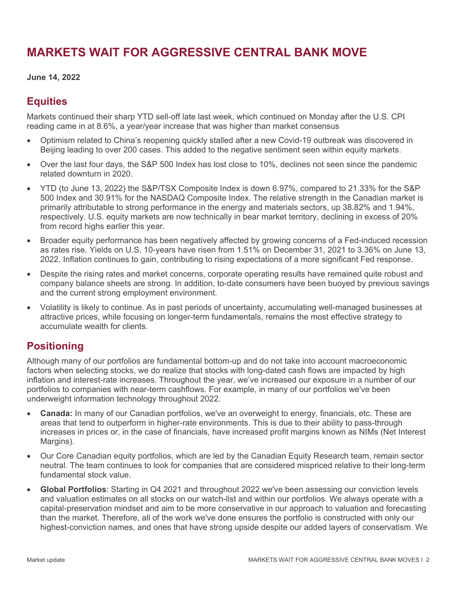# **MARKETS WAIT FOR AGGRESSIVE CENTRAL BANK MOVE**

#### **June 14, 2022**

### **Equities**

Markets continued their sharp YTD sell-off late last week, which continued on Monday after the U.S. CPI reading came in at 8.6%, a year/year increase that was higher than market consensus

- Optimism related to China's reopening quickly stalled after a new Covid-19 outbreak was discovered in Beijing leading to over 200 cases. This added to the negative sentiment seen within equity markets.
- Over the last four days, the S&P 500 Index has lost close to 10%, declines not seen since the pandemic related downturn in 2020.
- YTD (to June 13, 2022) the S&P/TSX Composite Index is down 6.97%, compared to 21.33% for the S&P 500 Index and 30.91% for the NASDAQ Composite Index. The relative strength in the Canadian market is primarily attributable to strong performance in the energy and materials sectors, up 38.82% and 1.94%, respectively. U.S. equity markets are now technically in bear market territory, declining in excess of 20% from record highs earlier this year.
- Broader equity performance has been negatively affected by growing concerns of a Fed-induced recession as rates rise. Yields on U.S. 10-years have risen from 1.51% on December 31, 2021 to 3.36% on June 13, 2022. Inflation continues to gain, contributing to rising expectations of a more significant Fed response.
- Despite the rising rates and market concerns, corporate operating results have remained quite robust and company balance sheets are strong. In addition, to-date consumers have been buoyed by previous savings and the current strong employment environment.
- Volatility is likely to continue. As in past periods of uncertainty, accumulating well-managed businesses at attractive prices, while focusing on longer-term fundamentals, remains the most effective strategy to accumulate wealth for clients.

## **Positioning**

Although many of our portfolios are fundamental bottom-up and do not take into account macroeconomic factors when selecting stocks, we do realize that stocks with long-dated cash flows are impacted by high inflation and interest-rate increases. Throughout the year, we've increased our exposure in a number of our portfolios to companies with near-term cashflows. For example, in many of our portfolios we've been underweight information technology throughout 2022.

- **Canada:** In many of our Canadian portfolios, we've an overweight to energy, financials, etc. These are areas that tend to outperform in higher-rate environments. This is due to their ability to pass-through increases in prices or, in the case of financials, have increased profit margins known as NIMs (Net Interest Margins).
- Our Core Canadian equity portfolios, which are led by the Canadian Equity Research team, remain sector neutral. The team continues to look for companies that are considered mispriced relative to their long-term fundamental stock value.
- **Global Portfolios**: Starting in Q4 2021 and throughout 2022 we've been assessing our conviction levels and valuation estimates on all stocks on our watch-list and within our portfolios. We always operate with a capital-preservation mindset and aim to be more conservative in our approach to valuation and forecasting than the market. Therefore, all of the work we've done ensures the portfolio is constructed with only our highest-conviction names, and ones that have strong upside despite our added layers of conservatism. We